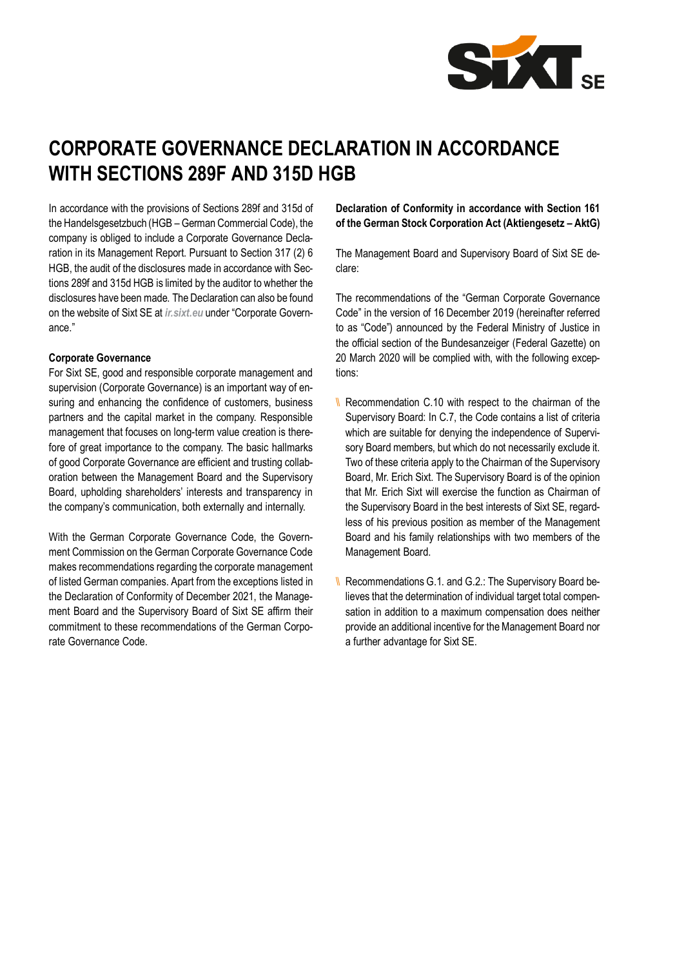

# **CORPORATE GOVERNANCE DECLARATION IN ACCORDANCE WITH SECTIONS 289F AND 315D HGB**

In accordance with the provisions of Sections 289f and 315d of the Handelsgesetzbuch (HGB – German Commercial Code), the company is obliged to include a Corporate Governance Declaration in its Management Report. Pursuant to Section 317 (2) 6 HGB, the audit of the disclosures made in accordance with Sections 289f and 315d HGB is limited by the auditor to whether the disclosures have been made. The Declaration can also be found on the website of Sixt SE at *ir.sixt.eu* under "Corporate Governance."

#### **Corporate Governance**

For Sixt SE, good and responsible corporate management and supervision (Corporate Governance) is an important way of ensuring and enhancing the confidence of customers, business partners and the capital market in the company. Responsible management that focuses on long-term value creation is therefore of great importance to the company. The basic hallmarks of good Corporate Governance are efficient and trusting collaboration between the Management Board and the Supervisory Board, upholding shareholders' interests and transparency in the company's communication, both externally and internally.

With the German Corporate Governance Code, the Government Commission on the German Corporate Governance Code makes recommendations regarding the corporate management of listed German companies. Apart from the exceptions listed in the Declaration of Conformity of December 2021, the Management Board and the Supervisory Board of Sixt SE affirm their commitment to these recommendations of the German Corporate Governance Code.

**Declaration of Conformity in accordance with Section 161 of the German Stock Corporation Act (Aktiengesetz – AktG)**

The Management Board and Supervisory Board of Sixt SE declare:

The recommendations of the "German Corporate Governance Code" in the version of 16 December 2019 (hereinafter referred to as "Code") announced by the Federal Ministry of Justice in the official section of the Bundesanzeiger (Federal Gazette) on 20 March 2020 will be complied with, with the following exceptions:

- $\parallel$  Recommendation C.10 with respect to the chairman of the Supervisory Board: In C.7, the Code contains a list of criteria which are suitable for denying the independence of Supervisory Board members, but which do not necessarily exclude it. Two of these criteria apply to the Chairman of the Supervisory Board, Mr. Erich Sixt. The Supervisory Board is of the opinion that Mr. Erich Sixt will exercise the function as Chairman of the Supervisory Board in the best interests of Sixt SE, regardless of his previous position as member of the Management Board and his family relationships with two members of the Management Board.
- \\ Recommendations G.1. and G.2.: The Supervisory Board believes that the determination of individual target total compensation in addition to a maximum compensation does neither provide an additional incentive for the Management Board nor a further advantage for Sixt SE.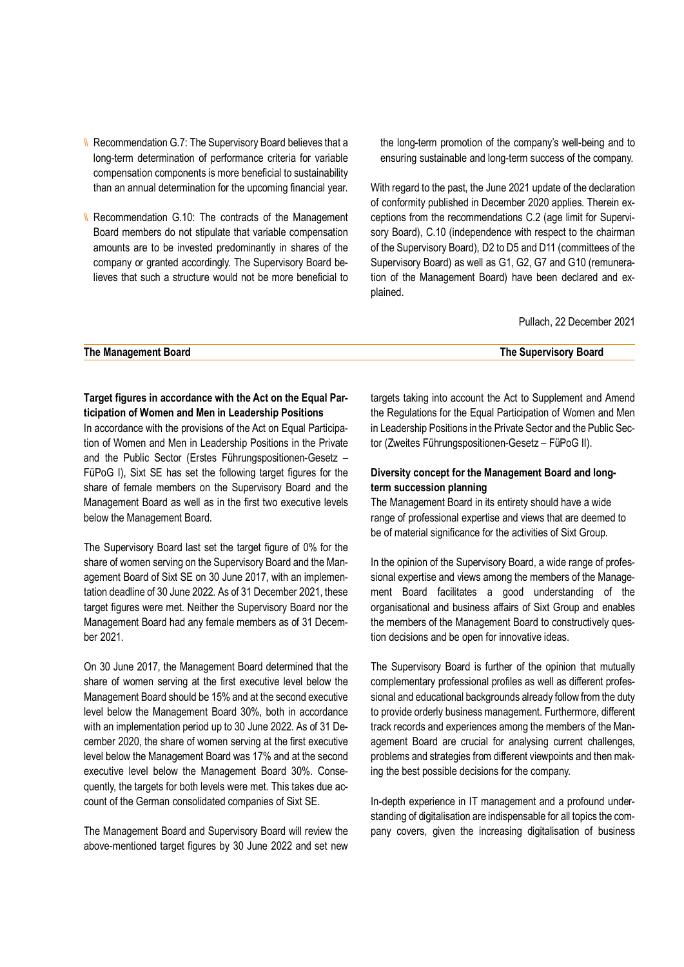- \\ Recommendation G.7: The Supervisory Board believes that a long-term determination of performance criteria for variable compensation components is more beneficial to sustainability than an annual determination for the upcoming financial year.
- \\ Recommendation G.10: The contracts of the Management Board members do not stipulate that variable compensation amounts are to be invested predominantly in shares of the company or granted accordingly. The Supervisory Board believes that such a structure would not be more beneficial to

the long-term promotion of the company's well-being and to ensuring sustainable and long-term success of the company.

With regard to the past, the June 2021 update of the declaration of conformity published in December 2020 applies. Therein exceptions from the recommendations C.2 (age limit for Supervisory Board), C.10 (independence with respect to the chairman of the Supervisory Board), D2 to D5 and D11 (committees of the Supervisory Board) as well as G1, G2, G7 and G10 (remuneration of the Management Board) have been declared and explained.

Pullach, 22 December 2021

#### **The Management Board The Supervisory Board**

# **Target figures in accordance with the Act on the Equal Participation of Women and Men in Leadership Positions**

In accordance with the provisions of the Act on Equal Participation of Women and Men in Leadership Positions in the Private and the Public Sector (Erstes Führungspositionen-Gesetz – FüPoG I), Sixt SE has set the following target figures for the share of female members on the Supervisory Board and the Management Board as well as in the first two executive levels below the Management Board.

The Supervisory Board last set the target figure of 0% for the share of women serving on the Supervisory Board and the Management Board of Sixt SE on 30 June 2017, with an implementation deadline of 30 June 2022. As of 31 December 2021, these target figures were met. Neither the Supervisory Board nor the Management Board had any female members as of 31 December 2021.

On 30 June 2017, the Management Board determined that the share of women serving at the first executive level below the Management Board should be 15% and at the second executive level below the Management Board 30%, both in accordance with an implementation period up to 30 June 2022. As of 31 December 2020, the share of women serving at the first executive level below the Management Board was 17% and at the second executive level below the Management Board 30%. Consequently, the targets for both levels were met. This takes due account of the German consolidated companies of Sixt SE.

The Management Board and Supervisory Board will review the above-mentioned target figures by 30 June 2022 and set new targets taking into account the Act to Supplement and Amend the Regulations for the Equal Participation of Women and Men in Leadership Positions in the Private Sector and the Public Sector (Zweites Führungspositionen-Gesetz – FüPoG II).

# **Diversity concept for the Management Board and longterm succession planning**

The Management Board in its entirety should have a wide range of professional expertise and views that are deemed to be of material significance for the activities of Sixt Group.

In the opinion of the Supervisory Board, a wide range of professional expertise and views among the members of the Management Board facilitates a good understanding of the organisational and business affairs of Sixt Group and enables the members of the Management Board to constructively question decisions and be open for innovative ideas.

The Supervisory Board is further of the opinion that mutually complementary professional profiles as well as different professional and educational backgrounds already follow from the duty to provide orderly business management. Furthermore, different track records and experiences among the members of the Management Board are crucial for analysing current challenges, problems and strategies from different viewpoints and then making the best possible decisions for the company.

In-depth experience in IT management and a profound understanding of digitalisation are indispensable for all topics the company covers, given the increasing digitalisation of business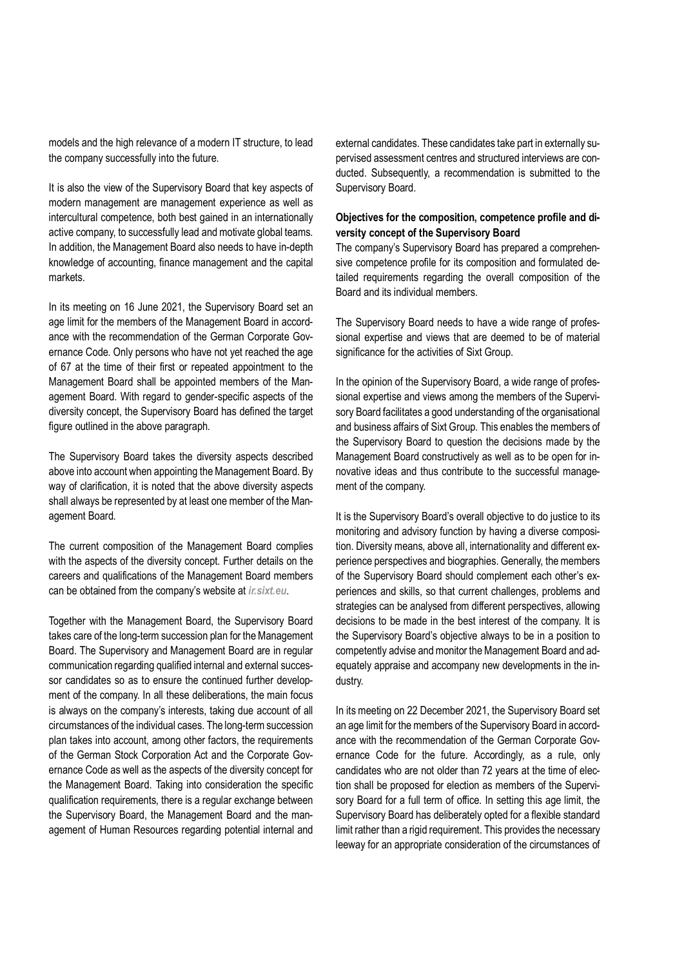models and the high relevance of a modern IT structure, to lead the company successfully into the future.

It is also the view of the Supervisory Board that key aspects of modern management are management experience as well as intercultural competence, both best gained in an internationally active company, to successfully lead and motivate global teams. In addition, the Management Board also needs to have in-depth knowledge of accounting, finance management and the capital markets.

In its meeting on 16 June 2021, the Supervisory Board set an age limit for the members of the Management Board in accordance with the recommendation of the German Corporate Governance Code. Only persons who have not yet reached the age of 67 at the time of their first or repeated appointment to the Management Board shall be appointed members of the Management Board. With regard to gender-specific aspects of the diversity concept, the Supervisory Board has defined the target figure outlined in the above paragraph.

The Supervisory Board takes the diversity aspects described above into account when appointing the Management Board. By way of clarification, it is noted that the above diversity aspects shall always be represented by at least one member of the Management Board.

The current composition of the Management Board complies with the aspects of the diversity concept. Further details on the careers and qualifications of the Management Board members can be obtained from the company's website at *ir.sixt.eu*.

Together with the Management Board, the Supervisory Board takes care of the long-term succession plan for the Management Board. The Supervisory and Management Board are in regular communication regarding qualified internal and external successor candidates so as to ensure the continued further development of the company. In all these deliberations, the main focus is always on the company's interests, taking due account of all circumstances of the individual cases. The long-term succession plan takes into account, among other factors, the requirements of the German Stock Corporation Act and the Corporate Governance Code as well as the aspects of the diversity concept for the Management Board. Taking into consideration the specific qualification requirements, there is a regular exchange between the Supervisory Board, the Management Board and the management of Human Resources regarding potential internal and

external candidates. These candidates take part in externally supervised assessment centres and structured interviews are conducted. Subsequently, a recommendation is submitted to the Supervisory Board.

# **Objectives for the composition, competence profile and diversity concept of the Supervisory Board**

The company's Supervisory Board has prepared a comprehensive competence profile for its composition and formulated detailed requirements regarding the overall composition of the Board and its individual members.

The Supervisory Board needs to have a wide range of professional expertise and views that are deemed to be of material significance for the activities of Sixt Group.

In the opinion of the Supervisory Board, a wide range of professional expertise and views among the members of the Supervisory Board facilitates a good understanding of the organisational and business affairs of Sixt Group. This enables the members of the Supervisory Board to question the decisions made by the Management Board constructively as well as to be open for innovative ideas and thus contribute to the successful management of the company.

It is the Supervisory Board's overall objective to do justice to its monitoring and advisory function by having a diverse composition. Diversity means, above all, internationality and different experience perspectives and biographies. Generally, the members of the Supervisory Board should complement each other's experiences and skills, so that current challenges, problems and strategies can be analysed from different perspectives, allowing decisions to be made in the best interest of the company. It is the Supervisory Board's objective always to be in a position to competently advise and monitor the Management Board and adequately appraise and accompany new developments in the industry.

In its meeting on 22 December 2021, the Supervisory Board set an age limit for the members of the Supervisory Board in accordance with the recommendation of the German Corporate Governance Code for the future. Accordingly, as a rule, only candidates who are not older than 72 years at the time of election shall be proposed for election as members of the Supervisory Board for a full term of office. In setting this age limit, the Supervisory Board has deliberately opted for a flexible standard limit rather than a rigid requirement. This provides the necessary leeway for an appropriate consideration of the circumstances of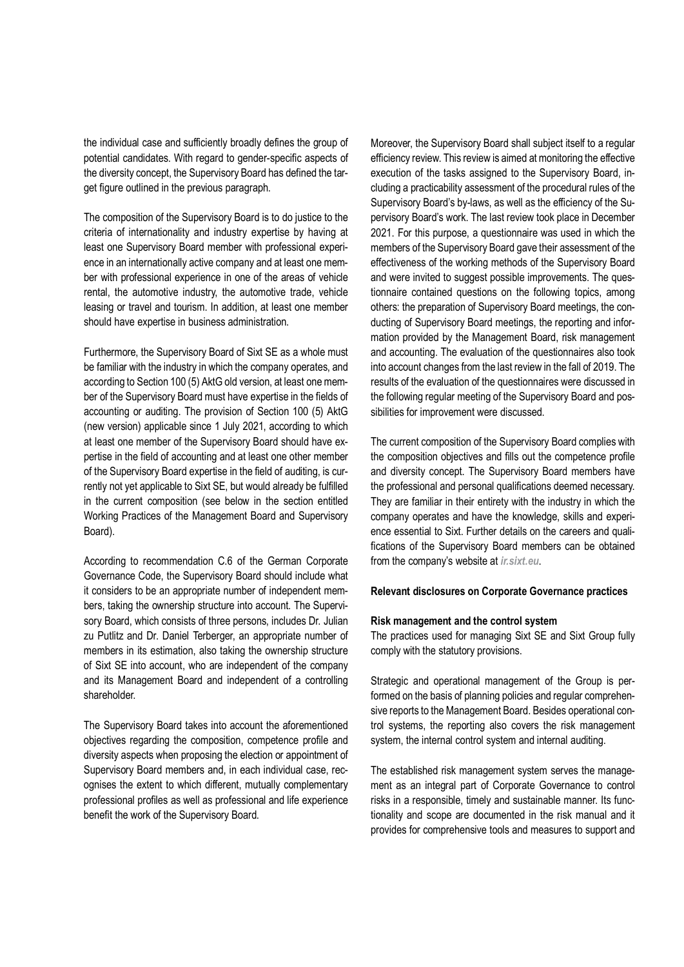the individual case and sufficiently broadly defines the group of potential candidates. With regard to gender-specific aspects of the diversity concept, the Supervisory Board has defined the target figure outlined in the previous paragraph.

The composition of the Supervisory Board is to do justice to the criteria of internationality and industry expertise by having at least one Supervisory Board member with professional experience in an internationally active company and at least one member with professional experience in one of the areas of vehicle rental, the automotive industry, the automotive trade, vehicle leasing or travel and tourism. In addition, at least one member should have expertise in business administration.

Furthermore, the Supervisory Board of Sixt SE as a whole must be familiar with the industry in which the company operates, and according to Section 100 (5) AktG old version, at least one member of the Supervisory Board must have expertise in the fields of accounting or auditing. The provision of Section 100 (5) AktG (new version) applicable since 1 July 2021, according to which at least one member of the Supervisory Board should have expertise in the field of accounting and at least one other member of the Supervisory Board expertise in the field of auditing, is currently not yet applicable to Sixt SE, but would already be fulfilled in the current composition (see below in the section entitled Working Practices of the Management Board and Supervisory Board).

According to recommendation C.6 of the German Corporate Governance Code, the Supervisory Board should include what it considers to be an appropriate number of independent members, taking the ownership structure into account. The Supervisory Board, which consists of three persons, includes Dr. Julian zu Putlitz and Dr. Daniel Terberger, an appropriate number of members in its estimation, also taking the ownership structure of Sixt SE into account, who are independent of the company and its Management Board and independent of a controlling shareholder.

The Supervisory Board takes into account the aforementioned objectives regarding the composition, competence profile and diversity aspects when proposing the election or appointment of Supervisory Board members and, in each individual case, recognises the extent to which different, mutually complementary professional profiles as well as professional and life experience benefit the work of the Supervisory Board.

Moreover, the Supervisory Board shall subject itself to a regular efficiency review. This review is aimed at monitoring the effective execution of the tasks assigned to the Supervisory Board, including a practicability assessment of the procedural rules of the Supervisory Board's by-laws, as well as the efficiency of the Supervisory Board's work. The last review took place in December 2021. For this purpose, a questionnaire was used in which the members of the Supervisory Board gave their assessment of the effectiveness of the working methods of the Supervisory Board and were invited to suggest possible improvements. The questionnaire contained questions on the following topics, among others: the preparation of Supervisory Board meetings, the conducting of Supervisory Board meetings, the reporting and information provided by the Management Board, risk management and accounting. The evaluation of the questionnaires also took into account changes from the last review in the fall of 2019. The results of the evaluation of the questionnaires were discussed in the following regular meeting of the Supervisory Board and possibilities for improvement were discussed.

The current composition of the Supervisory Board complies with the composition objectives and fills out the competence profile and diversity concept. The Supervisory Board members have the professional and personal qualifications deemed necessary. They are familiar in their entirety with the industry in which the company operates and have the knowledge, skills and experience essential to Sixt. Further details on the careers and qualifications of the Supervisory Board members can be obtained from the company's website at *ir.sixt.eu*.

#### **Relevant disclosures on Corporate Governance practices**

#### **Risk management and the control system**

The practices used for managing Sixt SE and Sixt Group fully comply with the statutory provisions.

Strategic and operational management of the Group is performed on the basis of planning policies and regular comprehensive reports to the Management Board. Besides operational control systems, the reporting also covers the risk management system, the internal control system and internal auditing.

The established risk management system serves the management as an integral part of Corporate Governance to control risks in a responsible, timely and sustainable manner. Its functionality and scope are documented in the risk manual and it provides for comprehensive tools and measures to support and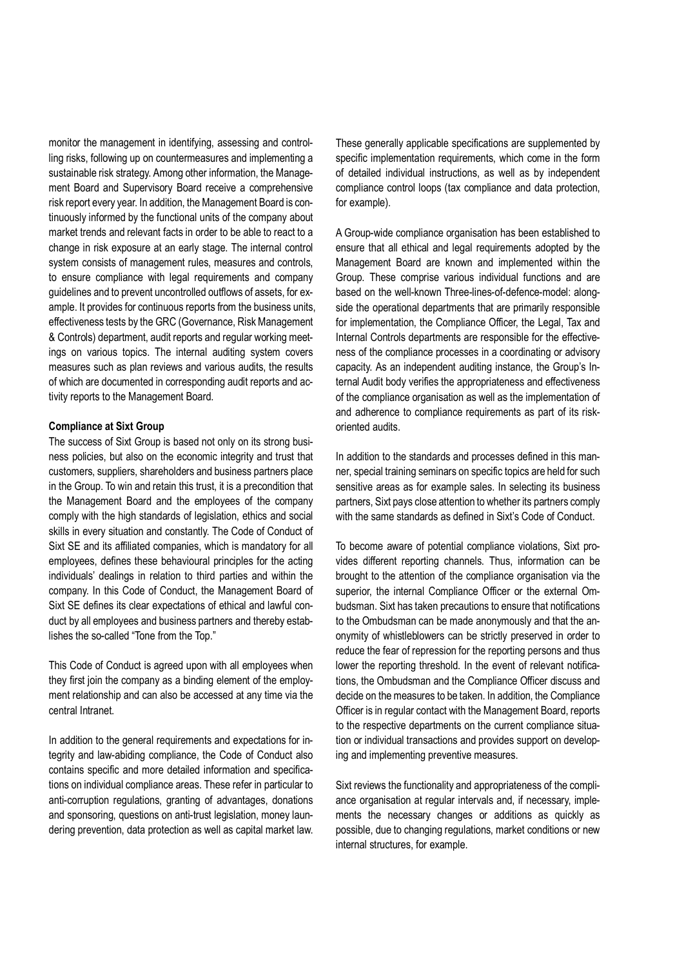monitor the management in identifying, assessing and controlling risks, following up on countermeasures and implementing a sustainable risk strategy. Among other information, the Management Board and Supervisory Board receive a comprehensive risk report every year. In addition, the Management Board is continuously informed by the functional units of the company about market trends and relevant facts in order to be able to react to a change in risk exposure at an early stage. The internal control system consists of management rules, measures and controls, to ensure compliance with legal requirements and company guidelines and to prevent uncontrolled outflows of assets, for example. It provides for continuous reports from the business units, effectiveness tests by the GRC (Governance, Risk Management & Controls) department, audit reports and regular working meetings on various topics. The internal auditing system covers measures such as plan reviews and various audits, the results of which are documented in corresponding audit reports and activity reports to the Management Board.

#### **Compliance at Sixt Group**

The success of Sixt Group is based not only on its strong business policies, but also on the economic integrity and trust that customers, suppliers, shareholders and business partners place in the Group. To win and retain this trust, it is a precondition that the Management Board and the employees of the company comply with the high standards of legislation, ethics and social skills in every situation and constantly. The Code of Conduct of Sixt SE and its affiliated companies, which is mandatory for all employees, defines these behavioural principles for the acting individuals' dealings in relation to third parties and within the company. In this Code of Conduct, the Management Board of Sixt SE defines its clear expectations of ethical and lawful conduct by all employees and business partners and thereby establishes the so-called "Tone from the Top."

This Code of Conduct is agreed upon with all employees when they first join the company as a binding element of the employment relationship and can also be accessed at any time via the central Intranet.

In addition to the general requirements and expectations for integrity and law-abiding compliance, the Code of Conduct also contains specific and more detailed information and specifications on individual compliance areas. These refer in particular to anti-corruption regulations, granting of advantages, donations and sponsoring, questions on anti-trust legislation, money laundering prevention, data protection as well as capital market law. These generally applicable specifications are supplemented by specific implementation requirements, which come in the form of detailed individual instructions, as well as by independent compliance control loops (tax compliance and data protection, for example).

A Group-wide compliance organisation has been established to ensure that all ethical and legal requirements adopted by the Management Board are known and implemented within the Group. These comprise various individual functions and are based on the well-known Three-lines-of-defence-model: alongside the operational departments that are primarily responsible for implementation, the Compliance Officer, the Legal, Tax and Internal Controls departments are responsible for the effectiveness of the compliance processes in a coordinating or advisory capacity. As an independent auditing instance, the Group's Internal Audit body verifies the appropriateness and effectiveness of the compliance organisation as well as the implementation of and adherence to compliance requirements as part of its riskoriented audits.

In addition to the standards and processes defined in this manner, special training seminars on specific topics are held for such sensitive areas as for example sales. In selecting its business partners, Sixt pays close attention to whether its partners comply with the same standards as defined in Sixt's Code of Conduct.

To become aware of potential compliance violations, Sixt provides different reporting channels. Thus, information can be brought to the attention of the compliance organisation via the superior, the internal Compliance Officer or the external Ombudsman. Sixt has taken precautions to ensure that notifications to the Ombudsman can be made anonymously and that the anonymity of whistleblowers can be strictly preserved in order to reduce the fear of repression for the reporting persons and thus lower the reporting threshold. In the event of relevant notifications, the Ombudsman and the Compliance Officer discuss and decide on the measures to be taken. In addition, the Compliance Officer is in regular contact with the Management Board, reports to the respective departments on the current compliance situation or individual transactions and provides support on developing and implementing preventive measures.

Sixt reviews the functionality and appropriateness of the compliance organisation at regular intervals and, if necessary, implements the necessary changes or additions as quickly as possible, due to changing regulations, market conditions or new internal structures, for example.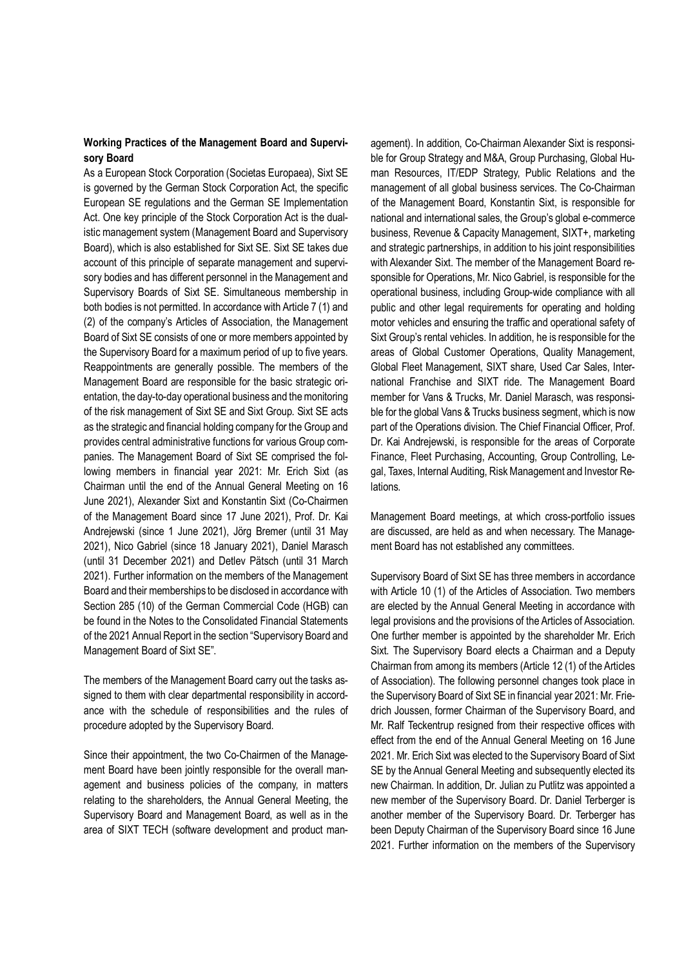# **Working Practices of the Management Board and Supervisory Board**

As a European Stock Corporation (Societas Europaea), Sixt SE is governed by the German Stock Corporation Act, the specific European SE regulations and the German SE Implementation Act. One key principle of the Stock Corporation Act is the dualistic management system (Management Board and Supervisory Board), which is also established for Sixt SE. Sixt SE takes due account of this principle of separate management and supervisory bodies and has different personnel in the Management and Supervisory Boards of Sixt SE. Simultaneous membership in both bodies is not permitted. In accordance with Article 7 (1) and (2) of the company's Articles of Association, the Management Board of Sixt SE consists of one or more members appointed by the Supervisory Board for a maximum period of up to five years. Reappointments are generally possible. The members of the Management Board are responsible for the basic strategic orientation, the day-to-day operational business and the monitoring of the risk management of Sixt SE and Sixt Group. Sixt SE acts as the strategic and financial holding company for the Group and provides central administrative functions for various Group companies. The Management Board of Sixt SE comprised the following members in financial year 2021: Mr. Erich Sixt (as Chairman until the end of the Annual General Meeting on 16 June 2021), Alexander Sixt and Konstantin Sixt (Co-Chairmen of the Management Board since 17 June 2021), Prof. Dr. Kai Andrejewski (since 1 June 2021), Jörg Bremer (until 31 May 2021), Nico Gabriel (since 18 January 2021), Daniel Marasch (until 31 December 2021) and Detlev Pätsch (until 31 March 2021). Further information on the members of the Management Board and their memberships to be disclosed in accordance with Section 285 (10) of the German Commercial Code (HGB) can be found in the Notes to the Consolidated Financial Statements of the 2021 Annual Report in the section "Supervisory Board and Management Board of Sixt SE".

The members of the Management Board carry out the tasks assigned to them with clear departmental responsibility in accordance with the schedule of responsibilities and the rules of procedure adopted by the Supervisory Board.

Since their appointment, the two Co-Chairmen of the Management Board have been jointly responsible for the overall management and business policies of the company, in matters relating to the shareholders, the Annual General Meeting, the Supervisory Board and Management Board, as well as in the area of SIXT TECH (software development and product management). In addition, Co-Chairman Alexander Sixt is responsible for Group Strategy and M&A, Group Purchasing, Global Human Resources, IT/EDP Strategy, Public Relations and the management of all global business services. The Co-Chairman of the Management Board, Konstantin Sixt, is responsible for national and international sales, the Group's global e-commerce business, Revenue & Capacity Management, SIXT+, marketing and strategic partnerships, in addition to his joint responsibilities with Alexander Sixt. The member of the Management Board responsible for Operations, Mr. Nico Gabriel, is responsible for the operational business, including Group-wide compliance with all public and other legal requirements for operating and holding motor vehicles and ensuring the traffic and operational safety of Sixt Group's rental vehicles. In addition, he is responsible for the areas of Global Customer Operations, Quality Management, Global Fleet Management, SIXT share, Used Car Sales, International Franchise and SIXT ride. The Management Board member for Vans & Trucks, Mr. Daniel Marasch, was responsible for the global Vans & Trucks business segment, which is now part of the Operations division. The Chief Financial Officer, Prof. Dr. Kai Andrejewski, is responsible for the areas of Corporate Finance, Fleet Purchasing, Accounting, Group Controlling, Legal, Taxes, Internal Auditing, Risk Management and Investor Relations.

Management Board meetings, at which cross-portfolio issues are discussed, are held as and when necessary. The Management Board has not established any committees.

Supervisory Board of Sixt SE has three members in accordance with Article 10 (1) of the Articles of Association. Two members are elected by the Annual General Meeting in accordance with legal provisions and the provisions of the Articles of Association. One further member is appointed by the shareholder Mr. Erich Sixt. The Supervisory Board elects a Chairman and a Deputy Chairman from among its members (Article 12 (1) of the Articles of Association). The following personnel changes took place in the Supervisory Board of Sixt SE in financial year 2021: Mr. Friedrich Joussen, former Chairman of the Supervisory Board, and Mr. Ralf Teckentrup resigned from their respective offices with effect from the end of the Annual General Meeting on 16 June 2021. Mr. Erich Sixt was elected to the Supervisory Board of Sixt SE by the Annual General Meeting and subsequently elected its new Chairman. In addition, Dr. Julian zu Putlitz was appointed a new member of the Supervisory Board. Dr. Daniel Terberger is another member of the Supervisory Board. Dr. Terberger has been Deputy Chairman of the Supervisory Board since 16 June 2021. Further information on the members of the Supervisory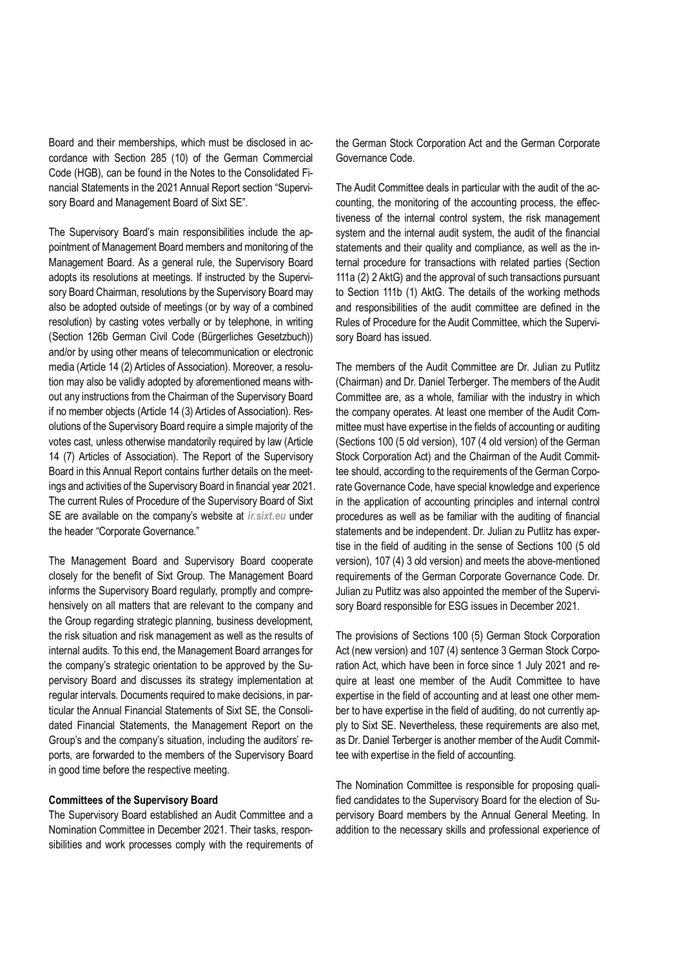Board and their memberships, which must be disclosed in accordance with Section 285 (10) of the German Commercial Code (HGB), can be found in the Notes to the Consolidated Financial Statements in the 2021 Annual Report section "Supervisory Board and Management Board of Sixt SE".

The Supervisory Board's main responsibilities include the appointment of Management Board members and monitoring of the Management Board. As a general rule, the Supervisory Board adopts its resolutions at meetings. If instructed by the Supervisory Board Chairman, resolutions by the Supervisory Board may also be adopted outside of meetings (or by way of a combined resolution) by casting votes verbally or by telephone, in writing (Section 126b German Civil Code (Bürgerliches Gesetzbuch)) and/or by using other means of telecommunication or electronic media (Article 14 (2) Articles of Association). Moreover, a resolution may also be validly adopted by aforementioned means without any instructions from the Chairman of the Supervisory Board if no member objects (Article 14 (3) Articles of Association). Resolutions of the Supervisory Board require a simple majority of the votes cast, unless otherwise mandatorily required by law (Article 14 (7) Articles of Association). The Report of the Supervisory Board in this Annual Report contains further details on the meetings and activities of the Supervisory Board in financial year 2021. The current Rules of Procedure of the Supervisory Board of Sixt SE are available on the company's website at *ir.sixt.eu* under the header "Corporate Governance."

The Management Board and Supervisory Board cooperate closely for the benefit of Sixt Group. The Management Board informs the Supervisory Board regularly, promptly and comprehensively on all matters that are relevant to the company and the Group regarding strategic planning, business development, the risk situation and risk management as well as the results of internal audits. To this end, the Management Board arranges for the company's strategic orientation to be approved by the Supervisory Board and discusses its strategy implementation at regular intervals. Documents required to make decisions, in particular the Annual Financial Statements of Sixt SE, the Consolidated Financial Statements, the Management Report on the Group's and the company's situation, including the auditors' reports, are forwarded to the members of the Supervisory Board in good time before the respective meeting.

# **Committees of the Supervisory Board**

The Supervisory Board established an Audit Committee and a Nomination Committee in December 2021. Their tasks, responsibilities and work processes comply with the requirements of the German Stock Corporation Act and the German Corporate Governance Code.

The Audit Committee deals in particular with the audit of the accounting, the monitoring of the accounting process, the effectiveness of the internal control system, the risk management system and the internal audit system, the audit of the financial statements and their quality and compliance, as well as the internal procedure for transactions with related parties (Section 111a (2) 2 AktG) and the approval of such transactions pursuant to Section 111b (1) AktG. The details of the working methods and responsibilities of the audit committee are defined in the Rules of Procedure for the Audit Committee, which the Supervisory Board has issued.

The members of the Audit Committee are Dr. Julian zu Putlitz (Chairman) and Dr. Daniel Terberger. The members of the Audit Committee are, as a whole, familiar with the industry in which the company operates. At least one member of the Audit Committee must have expertise in the fields of accounting or auditing (Sections 100 (5 old version), 107 (4 old version) of the German Stock Corporation Act) and the Chairman of the Audit Committee should, according to the requirements of the German Corporate Governance Code, have special knowledge and experience in the application of accounting principles and internal control procedures as well as be familiar with the auditing of financial statements and be independent. Dr. Julian zu Putlitz has expertise in the field of auditing in the sense of Sections 100 (5 old version), 107 (4) 3 old version) and meets the above-mentioned requirements of the German Corporate Governance Code. Dr. Julian zu Putlitz was also appointed the member of the Supervisory Board responsible for ESG issues in December 2021.

The provisions of Sections 100 (5) German Stock Corporation Act (new version) and 107 (4) sentence 3 German Stock Corporation Act, which have been in force since 1 July 2021 and require at least one member of the Audit Committee to have expertise in the field of accounting and at least one other member to have expertise in the field of auditing, do not currently apply to Sixt SE. Nevertheless, these requirements are also met, as Dr. Daniel Terberger is another member of the Audit Committee with expertise in the field of accounting.

The Nomination Committee is responsible for proposing qualified candidates to the Supervisory Board for the election of Supervisory Board members by the Annual General Meeting. In addition to the necessary skills and professional experience of